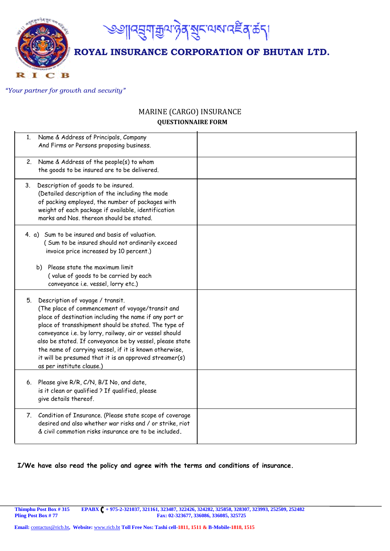

## *"Your partner for growth and security"*

т

C

## MARINE (CARGO) INSURANCE  **QUESTIONNAIRE FORM**

| Name & Address of Principals, Company<br>1.<br>And Firms or Persons proposing business.                                                                                                                                                                                                                                                                                                                                                                                           |  |
|-----------------------------------------------------------------------------------------------------------------------------------------------------------------------------------------------------------------------------------------------------------------------------------------------------------------------------------------------------------------------------------------------------------------------------------------------------------------------------------|--|
| 2. Name & Address of the people(s) to whom<br>the goods to be insured are to be delivered.                                                                                                                                                                                                                                                                                                                                                                                        |  |
| 3. Description of goods to be insured.<br>(Detailed description of the including the mode<br>of packing employed, the number of packages with<br>weight of each package if available, identification<br>marks and Nos. thereon should be stated.                                                                                                                                                                                                                                  |  |
| 4. a) Sum to be insured and basis of valuation.<br>(Sum to be insured should not ordinarily exceed<br>invoice price increased by 10 percent.)<br>b) Please state the maximum limit<br>(value of goods to be carried by each<br>conveyance i.e. vessel, lorry etc.)                                                                                                                                                                                                                |  |
| 5. Description of voyage / transit.<br>(The place of commencement of voyage/transit and<br>place of destination including the name if any port or<br>place of transshipment should be stated. The type of<br>conveyance i.e. by lorry, railway, air or vessel should<br>also be stated. If conveyance be by vessel, please state<br>the name of carrying vessel, if it is known otherwise,<br>it will be presumed that it is an approved streamer(s)<br>as per institute clause.) |  |
| 6. Please give R/R, C/N, B/I No, and date,<br>is it clean or qualified ? If qualified, please<br>give details thereof.                                                                                                                                                                                                                                                                                                                                                            |  |
| 7. Condition of Insurance. (Please state scope of coverage<br>desired and also whether war risks and / or strike, riot<br>& civil commotion risks insurance are to be included.                                                                                                                                                                                                                                                                                                   |  |

## **I/We have also read the policy and agree with the terms and conditions of insurance.**